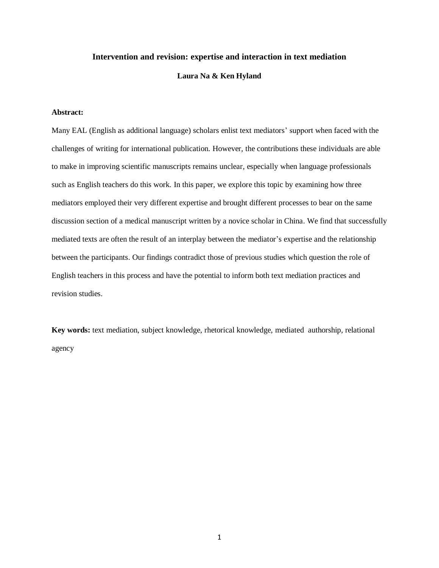### **Intervention and revision: expertise and interaction in text mediation**

# **Laura Na & Ken Hyland**

# **Abstract:**

Many EAL (English as additional language) scholars enlist text mediators' support when faced with the challenges of writing for international publication. However, the contributions these individuals are able to make in improving scientific manuscripts remains unclear, especially when language professionals such as English teachers do this work. In this paper, we explore this topic by examining how three mediators employed their very different expertise and brought different processes to bear on the same discussion section of a medical manuscript written by a novice scholar in China. We find that successfully mediated texts are often the result of an interplay between the mediator's expertise and the relationship between the participants. Our findings contradict those of previous studies which question the role of English teachers in this process and have the potential to inform both text mediation practices and revision studies.

**Key words:** text mediation, subject knowledge, rhetorical knowledge, mediated authorship, relational agency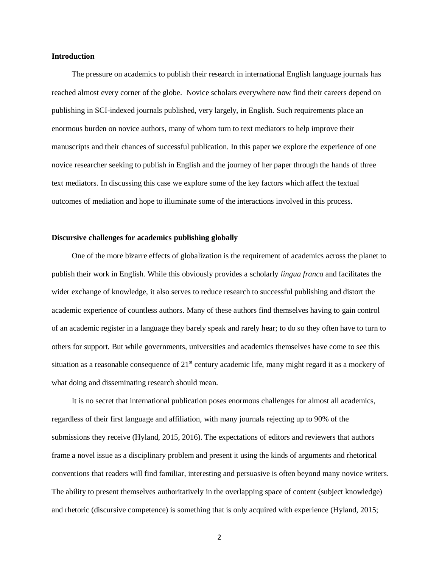# **Introduction**

The pressure on academics to publish their research in international English language journals has reached almost every corner of the globe. Novice scholars everywhere now find their careers depend on publishing in SCI-indexed journals published, very largely, in English. Such requirements place an enormous burden on novice authors, many of whom turn to text mediators to help improve their manuscripts and their chances of successful publication. In this paper we explore the experience of one novice researcher seeking to publish in English and the journey of her paper through the hands of three text mediators. In discussing this case we explore some of the key factors which affect the textual outcomes of mediation and hope to illuminate some of the interactions involved in this process.

## **Discursive challenges for academics publishing globally**

One of the more bizarre effects of globalization is the requirement of academics across the planet to publish their work in English. While this obviously provides a scholarly *lingua franca* and facilitates the wider exchange of knowledge, it also serves to reduce research to successful publishing and distort the academic experience of countless authors. Many of these authors find themselves having to gain control of an academic register in a language they barely speak and rarely hear; to do so they often have to turn to others for support. But while governments, universities and academics themselves have come to see this situation as a reasonable consequence of  $21<sup>st</sup>$  century academic life, many might regard it as a mockery of what doing and disseminating research should mean.

It is no secret that international publication poses enormous challenges for almost all academics, regardless of their first language and affiliation, with many journals rejecting up to 90% of the submissions they receive (Hyland, 2015, 2016). The expectations of editors and reviewers that authors frame a novel issue as a disciplinary problem and present it using the kinds of arguments and rhetorical conventions that readers will find familiar, interesting and persuasive is often beyond many novice writers. The ability to present themselves authoritatively in the overlapping space of content (subject knowledge) and rhetoric (discursive competence) is something that is only acquired with experience (Hyland, 2015;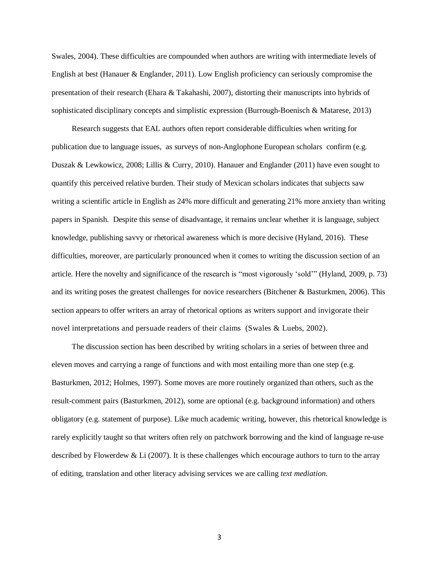Swales, 2004). These difficulties are compounded when authors are writing with intermediate levels of English at best (Hanauer & Englander, 2011). Low English proficiency can seriously compromise the presentation of their research (Ehara & Takahashi, 2007), distorting their manuscripts into hybrids of sophisticated disciplinary concepts and simplistic expression (Burrough-Boenisch & Matarese, 2013)

Research suggests that EAL authors often report considerable difficulties when writing for publication due to language issues, as surveys of non-Anglophone European scholars confirm (e.g. Duszak & Lewkowicz, 2008; Lillis & Curry, 2010). Hanauer and Englander (2011) have even sought to quantify this perceived relative burden. Their study of Mexican scholars indicates that subjects saw writing a scientific article in English as 24% more difficult and generating 21% more anxiety than writing papers in Spanish. Despite this sense of disadvantage, it remains unclear whether it is language, subject knowledge, publishing savvy or rhetorical awareness which is more decisive (Hyland, 2016). These difficulties, moreover, are particularly pronounced when it comes to writing the discussion section of an article. Here the novelty and significance of the research is "most vigorously 'sold'" (Hyland, 2009, p. 73) and its writing poses the greatest challenges for novice researchers (Bitchener & Basturkmen, 2006). This section appears to offer writers an array of rhetorical options as writers support and invigorate their novel interpretations and persuade readers of their claims (Swales & Luebs, 2002).

The discussion section has been described by writing scholars in a series of between three and eleven moves and carrying a range of functions and with most entailing more than one step (e.g. Basturkmen, 2012; Holmes, 1997). Some moves are more routinely organized than others, such as the result-comment pairs (Basturkmen, 2012), some are optional (e.g. background information) and others obligatory (e.g. statement of purpose). Like much academic writing, however, this rhetorical knowledge is rarely explicitly taught so that writers often rely on patchwork borrowing and the kind of language re-use described by Flowerdew & Li (2007). It is these challenges which encourage authors to turn to the array of editing, translation and other literacy advising services we are calling *text mediation*.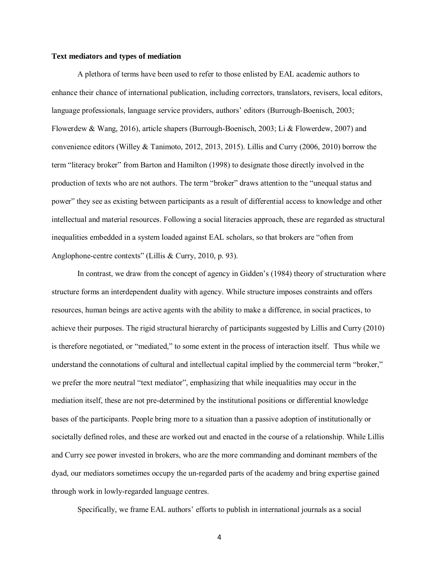### **Text mediators and types of mediation**

A plethora of terms have been used to refer to those enlisted by EAL academic authors to enhance their chance of international publication, including correctors, translators, revisers, local editors, language professionals, language service providers, authors' editors (Burrough-Boenisch, 2003; Flowerdew & Wang, 2016), article shapers (Burrough-Boenisch, 2003; Li & Flowerdew, 2007) and convenience editors (Willey & Tanimoto, 2012, 2013, 2015). Lillis and Curry (2006, 2010) borrow the term "literacy broker" from Barton and Hamilton (1998) to designate those directly involved in the production of texts who are not authors. The term "broker" draws attention to the "unequal status and power" they see as existing between participants as a result of differential access to knowledge and other intellectual and material resources. Following a social literacies approach, these are regarded as structural inequalities embedded in a system loaded against EAL scholars, so that brokers are "often from Anglophone-centre contexts" (Lillis & Curry, 2010, p. 93).

In contrast, we draw from the concept of agency in Gidden's (1984) theory of structuration where structure forms an interdependent duality with agency. While structure imposes constraints and offers resources, human beings are active agents with the ability to make a difference, in social practices, to achieve their purposes. The rigid structural hierarchy of participants suggested by Lillis and Curry (2010) is therefore negotiated, or "mediated," to some extent in the process of interaction itself. Thus while we understand the connotations of cultural and intellectual capital implied by the commercial term "broker," we prefer the more neutral "text mediator", emphasizing that while inequalities may occur in the mediation itself, these are not pre-determined by the institutional positions or differential knowledge bases of the participants. People bring more to a situation than a passive adoption of institutionally or societally defined roles, and these are worked out and enacted in the course of a relationship. While Lillis and Curry see power invested in brokers, who are the more commanding and dominant members of the dyad, our mediators sometimes occupy the un-regarded parts of the academy and bring expertise gained through work in lowly-regarded language centres.

Specifically, we frame EAL authors' efforts to publish in international journals as a social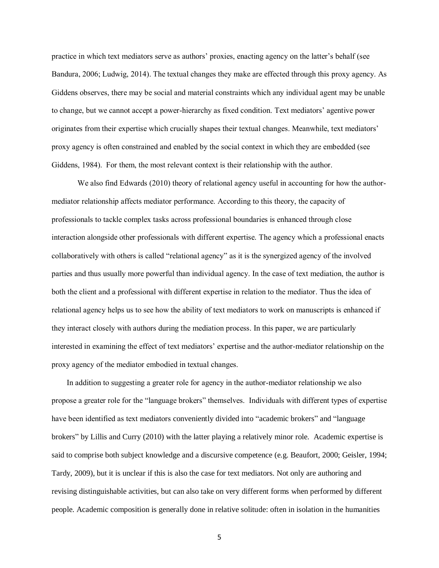practice in which text mediators serve as authors' proxies, enacting agency on the latter's behalf (see Bandura, 2006; Ludwig, 2014). The textual changes they make are effected through this proxy agency. As Giddens observes, there may be social and material constraints which any individual agent may be unable to change, but we cannot accept a power-hierarchy as fixed condition. Text mediators' agentive power originates from their expertise which crucially shapes their textual changes. Meanwhile, text mediators' proxy agency is often constrained and enabled by the social context in which they are embedded (see Giddens, 1984). For them, the most relevant context is their relationship with the author.

We also find Edwards (2010) theory of relational agency useful in accounting for how the authormediator relationship affects mediator performance. According to this theory, the capacity of professionals to tackle complex tasks across professional boundaries is enhanced through close interaction alongside other professionals with different expertise. The agency which a professional enacts collaboratively with others is called "relational agency" as it is the synergized agency of the involved parties and thus usually more powerful than individual agency. In the case of text mediation, the author is both the client and a professional with different expertise in relation to the mediator. Thus the idea of relational agency helps us to see how the ability of text mediators to work on manuscripts is enhanced if they interact closely with authors during the mediation process. In this paper, we are particularly interested in examining the effect of text mediators' expertise and the author-mediator relationship on the proxy agency of the mediator embodied in textual changes.

In addition to suggesting a greater role for agency in the author-mediator relationship we also propose a greater role for the "language brokers" themselves. Individuals with different types of expertise have been identified as text mediators conveniently divided into "academic brokers" and "language brokers" by Lillis and Curry (2010) with the latter playing a relatively minor role. Academic expertise is said to comprise both subject knowledge and a discursive competence (e.g. Beaufort, 2000; Geisler, 1994; Tardy, 2009), but it is unclear if this is also the case for text mediators. Not only are authoring and revising distinguishable activities, but can also take on very different forms when performed by different people. Academic composition is generally done in relative solitude: often in isolation in the humanities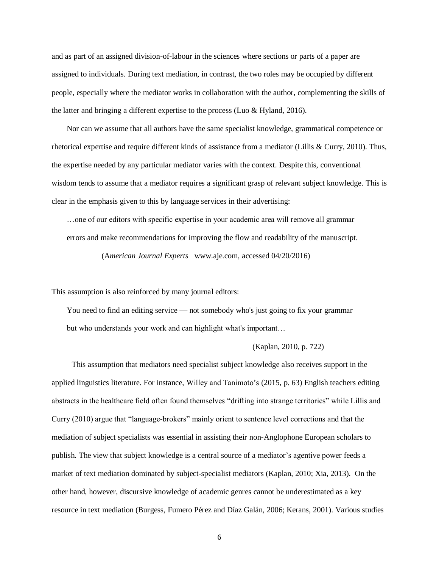and as part of an assigned division-of-labour in the sciences where sections or parts of a paper are assigned to individuals. During text mediation, in contrast, the two roles may be occupied by different people, especially where the mediator works in collaboration with the author, complementing the skills of the latter and bringing a different expertise to the process (Luo & Hyland, 2016).

Nor can we assume that all authors have the same specialist knowledge, grammatical competence or rhetorical expertise and require different kinds of assistance from a mediator (Lillis & Curry, 2010). Thus, the expertise needed by any particular mediator varies with the context. Despite this, conventional wisdom tends to assume that a mediator requires a significant grasp of relevant subject knowledge. This is clear in the emphasis given to this by language services in their advertising:

…one of our editors with specific expertise in your academic area will remove all grammar errors and make recommendations for improving the flow and readability of the manuscript.

(A*merican Journal Experts* www.aje.com, accessed 04/20/2016)

This assumption is also reinforced by many journal editors:

You need to find an editing service — not somebody who's just going to fix your grammar but who understands your work and can highlight what's important…

### (Kaplan, 2010, p. 722)

This assumption that mediators need specialist subject knowledge also receives support in the applied linguistics literature. For instance, Willey and Tanimoto's (2015, p. 63) English teachers editing abstracts in the healthcare field often found themselves "drifting into strange territories" while Lillis and Curry (2010) argue that "language-brokers" mainly orient to sentence level corrections and that the mediation of subject specialists was essential in assisting their non-Anglophone European scholars to publish. The view that subject knowledge is a central source of a mediator's agentive power feeds a market of text mediation dominated by subject-specialist mediators (Kaplan, 2010; Xia, 2013). On the other hand, however, discursive knowledge of academic genres cannot be underestimated as a key resource in text mediation (Burgess, Fumero Pérez and Díaz Galán, 2006; Kerans, 2001). Various studies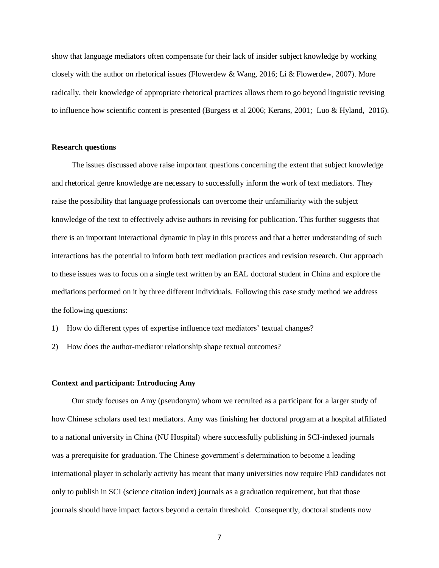show that language mediators often compensate for their lack of insider subject knowledge by working closely with the author on rhetorical issues (Flowerdew & Wang, 2016; Li & Flowerdew, 2007). More radically, their knowledge of appropriate rhetorical practices allows them to go beyond linguistic revising to influence how scientific content is presented (Burgess et al 2006; Kerans, 2001; Luo & Hyland, 2016).

#### **Research questions**

The issues discussed above raise important questions concerning the extent that subject knowledge and rhetorical genre knowledge are necessary to successfully inform the work of text mediators. They raise the possibility that language professionals can overcome their unfamiliarity with the subject knowledge of the text to effectively advise authors in revising for publication. This further suggests that there is an important interactional dynamic in play in this process and that a better understanding of such interactions has the potential to inform both text mediation practices and revision research. Our approach to these issues was to focus on a single text written by an EAL doctoral student in China and explore the mediations performed on it by three different individuals. Following this case study method we address the following questions:

- 1) How do different types of expertise influence text mediators' textual changes?
- 2) How does the author-mediator relationship shape textual outcomes?

### **Context and participant: Introducing Amy**

Our study focuses on Amy (pseudonym) whom we recruited as a participant for a larger study of how Chinese scholars used text mediators. Amy was finishing her doctoral program at a hospital affiliated to a national university in China (NU Hospital) where successfully publishing in SCI-indexed journals was a prerequisite for graduation. The Chinese government's determination to become a leading international player in scholarly activity has meant that many universities now require PhD candidates not only to publish in SCI (science citation index) journals as a graduation requirement, but that those journals should have impact factors beyond a certain threshold. Consequently, doctoral students now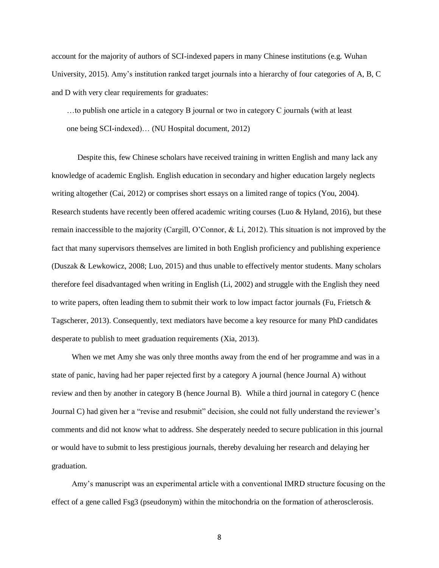account for the majority of authors of SCI-indexed papers in many Chinese institutions (e.g. Wuhan University, 2015). Amy's institution ranked target journals into a hierarchy of four categories of A, B, C and D with very clear requirements for graduates:

…to publish one article in a category B journal or two in category C journals (with at least one being SCI-indexed)… (NU Hospital document, 2012)

Despite this, few Chinese scholars have received training in written English and many lack any knowledge of academic English. English education in secondary and higher education largely neglects writing altogether (Cai, 2012) or comprises short essays on a limited range of topics (You, 2004). Research students have recently been offered academic writing courses (Luo & Hyland, 2016), but these remain inaccessible to the majority (Cargill, O'Connor, & Li, 2012). This situation is not improved by the fact that many supervisors themselves are limited in both English proficiency and publishing experience (Duszak & Lewkowicz, 2008; Luo, 2015) and thus unable to effectively mentor students. Many scholars therefore feel disadvantaged when writing in English (Li, 2002) and struggle with the English they need to write papers, often leading them to submit their work to low impact factor journals (Fu, Frietsch  $\&$ Tagscherer, 2013). Consequently, text mediators have become a key resource for many PhD candidates desperate to publish to meet graduation requirements (Xia, 2013).

When we met Amy she was only three months away from the end of her programme and was in a state of panic, having had her paper rejected first by a category A journal (hence Journal A) without review and then by another in category B (hence Journal B). While a third journal in category C (hence Journal C) had given her a "revise and resubmit" decision, she could not fully understand the reviewer's comments and did not know what to address. She desperately needed to secure publication in this journal or would have to submit to less prestigious journals, thereby devaluing her research and delaying her graduation.

Amy's manuscript was an experimental article with a conventional IMRD structure focusing on the effect of a gene called Fsg3 (pseudonym) within the mitochondria on the formation of atherosclerosis.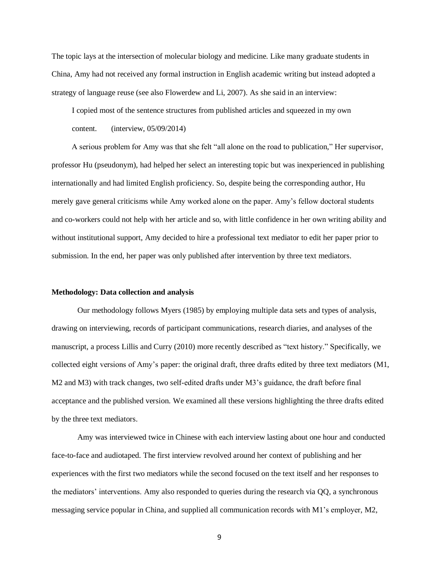The topic lays at the intersection of molecular biology and medicine. Like many graduate students in China, Amy had not received any formal instruction in English academic writing but instead adopted a strategy of language reuse (see also Flowerdew and Li, 2007). As she said in an interview:

I copied most of the sentence structures from published articles and squeezed in my own content. (interview, 05/09/2014)

A serious problem for Amy was that she felt "all alone on the road to publication," Her supervisor, professor Hu (pseudonym), had helped her select an interesting topic but was inexperienced in publishing internationally and had limited English proficiency. So, despite being the corresponding author, Hu merely gave general criticisms while Amy worked alone on the paper. Amy's fellow doctoral students and co-workers could not help with her article and so, with little confidence in her own writing ability and without institutional support, Amy decided to hire a professional text mediator to edit her paper prior to submission. In the end, her paper was only published after intervention by three text mediators.

# **Methodology: Data collection and analysis**

Our methodology follows Myers (1985) by employing multiple data sets and types of analysis, drawing on interviewing, records of participant communications, research diaries, and analyses of the manuscript, a process Lillis and Curry (2010) more recently described as "text history." Specifically, we collected eight versions of Amy's paper: the original draft, three drafts edited by three text mediators (M1, M2 and M3) with track changes, two self-edited drafts under M3's guidance, the draft before final acceptance and the published version. We examined all these versions highlighting the three drafts edited by the three text mediators.

Amy was interviewed twice in Chinese with each interview lasting about one hour and conducted face-to-face and audiotaped. The first interview revolved around her context of publishing and her experiences with the first two mediators while the second focused on the text itself and her responses to the mediators' interventions. Amy also responded to queries during the research via QQ, a synchronous messaging service popular in China, and supplied all communication records with M1's employer, M2,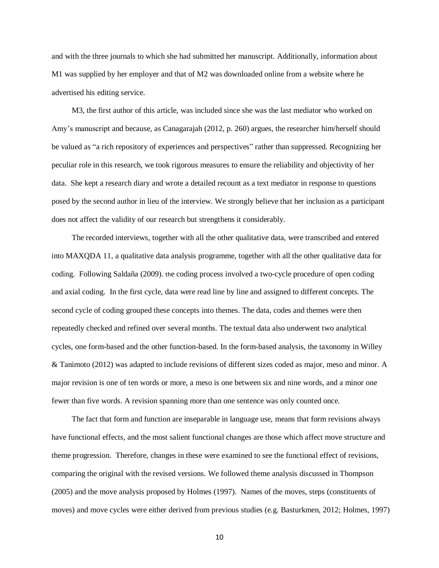and with the three journals to which she had submitted her manuscript. Additionally, information about M1 was supplied by her employer and that of M2 was downloaded online from a website where he advertised his editing service.

M3, the first author of this article, was included since she was the last mediator who worked on Amy's manuscript and because, as Canagarajah (2012, p. 260) argues, the researcher him/herself should be valued as "a rich repository of experiences and perspectives" rather than suppressed. Recognizing her peculiar role in this research, we took rigorous measures to ensure the reliability and objectivity of her data. She kept a research diary and wrote a detailed recount as a text mediator in response to questions posed by the second author in lieu of the interview. We strongly believe that her inclusion as a participant does not affect the validity of our research but strengthens it considerably.

The recorded interviews, together with all the other qualitative data, were transcribed and entered into MAXQDA 11, a qualitative data analysis programme, together with all the other qualitative data for coding. Following Saldaña (2009). the coding process involved a two-cycle procedure of open coding and axial coding. In the first cycle, data were read line by line and assigned to different concepts. The second cycle of coding grouped these concepts into themes. The data, codes and themes were then repeatedly checked and refined over several months. The textual data also underwent two analytical cycles, one form-based and the other function-based. In the form-based analysis, the taxonomy in Willey & Tanimoto (2012) was adapted to include revisions of different sizes coded as major, meso and minor. A major revision is one of ten words or more, a meso is one between six and nine words, and a minor one fewer than five words. A revision spanning more than one sentence was only counted once.

The fact that form and function are inseparable in language use, means that form revisions always have functional effects, and the most salient functional changes are those which affect move structure and theme progression. Therefore, changes in these were examined to see the functional effect of revisions, comparing the original with the revised versions. We followed theme analysis discussed in Thompson (2005) and the move analysis proposed by Holmes (1997). Names of the moves, steps (constituents of moves) and move cycles were either derived from previous studies (e.g. Basturkmen, 2012; Holmes, 1997)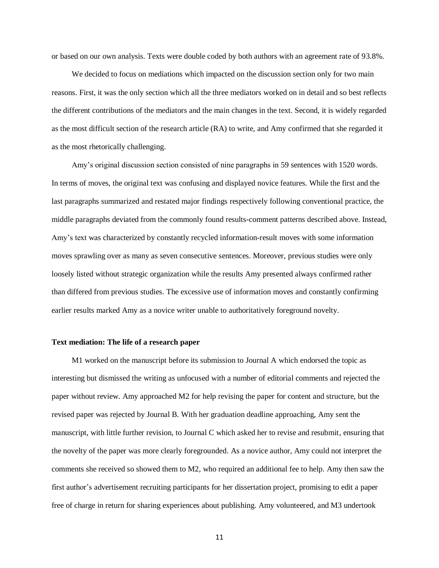or based on our own analysis. Texts were double coded by both authors with an agreement rate of 93.8%.

We decided to focus on mediations which impacted on the discussion section only for two main reasons. First, it was the only section which all the three mediators worked on in detail and so best reflects the different contributions of the mediators and the main changes in the text. Second, it is widely regarded as the most difficult section of the research article (RA) to write, and Amy confirmed that she regarded it as the most rhetorically challenging.

Amy's original discussion section consisted of nine paragraphs in 59 sentences with 1520 words. In terms of moves, the original text was confusing and displayed novice features. While the first and the last paragraphs summarized and restated major findings respectively following conventional practice, the middle paragraphs deviated from the commonly found results-comment patterns described above. Instead, Amy's text was characterized by constantly recycled information-result moves with some information moves sprawling over as many as seven consecutive sentences. Moreover, previous studies were only loosely listed without strategic organization while the results Amy presented always confirmed rather than differed from previous studies. The excessive use of information moves and constantly confirming earlier results marked Amy as a novice writer unable to authoritatively foreground novelty.

### **Text mediation: The life of a research paper**

M1 worked on the manuscript before its submission to Journal A which endorsed the topic as interesting but dismissed the writing as unfocused with a number of editorial comments and rejected the paper without review. Amy approached M2 for help revising the paper for content and structure, but the revised paper was rejected by Journal B. With her graduation deadline approaching, Amy sent the manuscript, with little further revision, to Journal C which asked her to revise and resubmit, ensuring that the novelty of the paper was more clearly foregrounded. As a novice author, Amy could not interpret the comments she received so showed them to M2, who required an additional fee to help. Amy then saw the first author's advertisement recruiting participants for her dissertation project, promising to edit a paper free of charge in return for sharing experiences about publishing. Amy volunteered, and M3 undertook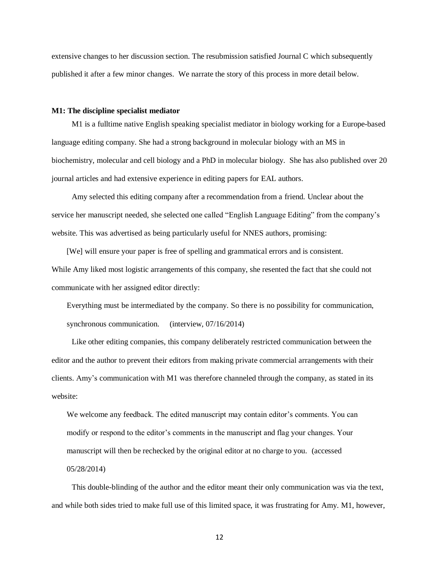extensive changes to her discussion section. The resubmission satisfied Journal C which subsequently published it after a few minor changes. We narrate the story of this process in more detail below.

## **M1: The discipline specialist mediator**

M1 is a fulltime native English speaking specialist mediator in biology working for a Europe-based language editing company. She had a strong background in molecular biology with an MS in biochemistry, molecular and cell biology and a PhD in molecular biology. She has also published over 20 journal articles and had extensive experience in editing papers for EAL authors.

Amy selected this editing company after a recommendation from a friend. Unclear about the service her manuscript needed, she selected one called "English Language Editing" from the company's website. This was advertised as being particularly useful for NNES authors, promising:

[We] will ensure your paper is free of spelling and grammatical errors and is consistent. While Amy liked most logistic arrangements of this company, she resented the fact that she could not communicate with her assigned editor directly:

Everything must be intermediated by the company. So there is no possibility for communication, synchronous communication. (interview, 07/16/2014)

Like other editing companies, this company deliberately restricted communication between the editor and the author to prevent their editors from making private commercial arrangements with their clients. Amy's communication with M1 was therefore channeled through the company, as stated in its website:

We welcome any feedback. The edited manuscript may contain editor's comments. You can modify or respond to the editor's comments in the manuscript and flag your changes. Your manuscript will then be rechecked by the original editor at no charge to you. (accessed 05/28/2014)

This double-blinding of the author and the editor meant their only communication was via the text, and while both sides tried to make full use of this limited space, it was frustrating for Amy. M1, however,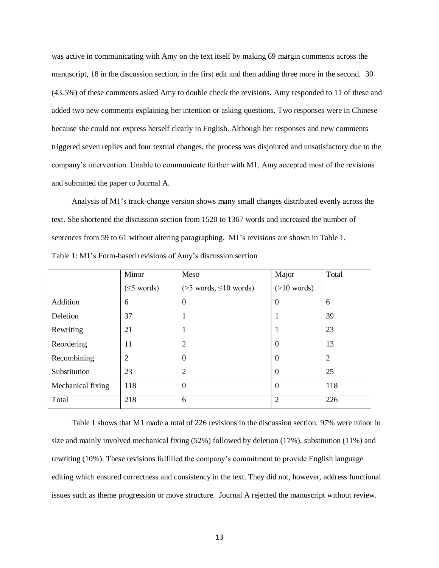was active in communicating with Amy on the text itself by making 69 margin comments across the manuscript, 18 in the discussion section, in the first edit and then adding three more in the second. 30 (43.5%) of these comments asked Amy to double check the revisions. Amy responded to 11 of these and added two new comments explaining her intention or asking questions. Two responses were in Chinese because she could not express herself clearly in English. Although her responses and new comments triggered seven replies and four textual changes, the process was disjointed and unsatisfactory due to the company's intervention. Unable to communicate further with M1, Amy accepted most of the revisions and submitted the paper to Journal A.

Analysis of M1's track-change version shows many small changes distributed evenly across the text. She shortened the discussion section from 1520 to 1367 words and increased the number of sentences from 59 to 61 without altering paragraphing. M1's revisions are shown in Table 1. Table 1: M1's Form-based revisions of Amy's discussion section

|                   | Minor            | Meso                           | Major          | Total          |
|-------------------|------------------|--------------------------------|----------------|----------------|
|                   | $(\leq 5$ words) | $($ >5 words, $\leq 10$ words) | $(>10$ words)  |                |
| Addition          | 6                | $\Omega$                       | $\Omega$       | 6              |
| Deletion          | 37               |                                |                | 39             |
| Rewriting         | 21               |                                |                | 23             |
| Reordering        | 11               | $\overline{2}$                 | $\Omega$       | 13             |
| Recombining       | $\overline{2}$   | $\theta$                       | $\Omega$       | $\overline{2}$ |
| Substitution      | 23               | 2                              | $\Omega$       | 25             |
| Mechanical fixing | 118              | $\overline{0}$                 | $\Omega$       | 118            |
| Total             | 218              | 6                              | $\overline{2}$ | 226            |

Table 1 shows that M1 made a total of 226 revisions in the discussion section. 97% were minor in size and mainly involved mechanical fixing (52%) followed by deletion (17%), substitution (11%) and rewriting (10%). These revisions fulfilled the company's commitment to provide English language editing which ensured correctness and consistency in the text. They did not, however, address functional issues such as theme progression or move structure. Journal A rejected the manuscript without review.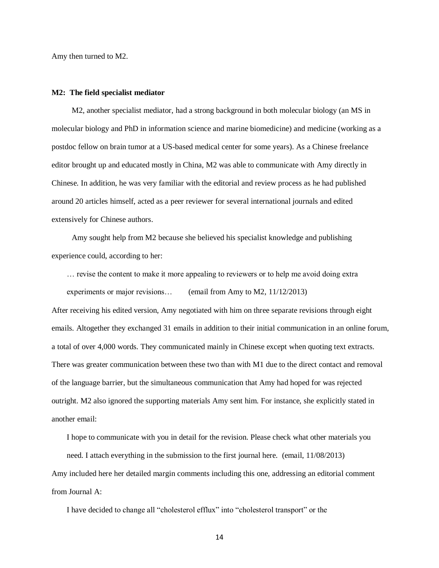Amy then turned to M2.

#### **M2: The field specialist mediator**

M2, another specialist mediator, had a strong background in both molecular biology (an MS in molecular biology and PhD in information science and marine biomedicine) and medicine (working as a postdoc fellow on brain tumor at a US-based medical center for some years). As a Chinese freelance editor brought up and educated mostly in China, M2 was able to communicate with Amy directly in Chinese. In addition, he was very familiar with the editorial and review process as he had published around 20 articles himself, acted as a peer reviewer for several international journals and edited extensively for Chinese authors.

Amy sought help from M2 because she believed his specialist knowledge and publishing experience could, according to her:

… revise the content to make it more appealing to reviewers or to help me avoid doing extra experiments or major revisions… (email from Amy to M2, 11/12/2013)

After receiving his edited version, Amy negotiated with him on three separate revisions through eight emails. Altogether they exchanged 31 emails in addition to their initial communication in an online forum, a total of over 4,000 words. They communicated mainly in Chinese except when quoting text extracts. There was greater communication between these two than with M1 due to the direct contact and removal of the language barrier, but the simultaneous communication that Amy had hoped for was rejected outright. M2 also ignored the supporting materials Amy sent him. For instance, she explicitly stated in another email:

I hope to communicate with you in detail for the revision. Please check what other materials you need. I attach everything in the submission to the first journal here. (email, 11/08/2013) Amy included here her detailed margin comments including this one, addressing an editorial comment from Journal A:

I have decided to change all "cholesterol efflux" into "cholesterol transport" or the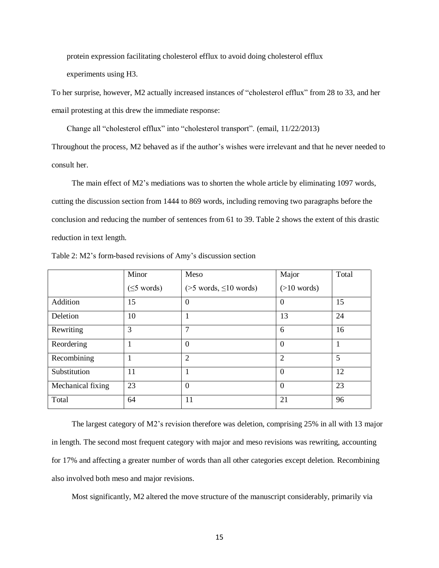protein expression facilitating cholesterol efflux to avoid doing cholesterol efflux experiments using H3.

To her surprise, however, M2 actually increased instances of "cholesterol efflux" from 28 to 33, and her email protesting at this drew the immediate response:

Change all "cholesterol efflux" into "cholesterol transport". (email, 11/22/2013)

Throughout the process, M2 behaved as if the author's wishes were irrelevant and that he never needed to consult her.

The main effect of M2's mediations was to shorten the whole article by eliminating 1097 words, cutting the discussion section from 1444 to 869 words, including removing two paragraphs before the conclusion and reducing the number of sentences from 61 to 39. Table 2 shows the extent of this drastic reduction in text length.

|                   | Minor            | Meso                           | Major          | Total |
|-------------------|------------------|--------------------------------|----------------|-------|
|                   | $(\leq 5$ words) | $($ >5 words, $\leq 10$ words) | $(>10$ words)  |       |
| Addition          | 15               | $\overline{0}$                 | $\theta$       | 15    |
| Deletion          | 10               |                                | 13             | 24    |
| Rewriting         | 3                | 7                              | 6              | 16    |
| Reordering        |                  | $\mathbf{0}$                   | $\mathbf{0}$   |       |
| Recombining       |                  | $\overline{2}$                 | $\overline{2}$ | 5     |
| Substitution      | 11               | 1                              | $\overline{0}$ | 12    |
| Mechanical fixing | 23               | $\theta$                       | $\overline{0}$ | 23    |
| Total             | 64               | 11                             | 21             | 96    |

Table 2: M2's form-based revisions of Amy's discussion section

The largest category of M2's revision therefore was deletion, comprising 25% in all with 13 major in length. The second most frequent category with major and meso revisions was rewriting, accounting for 17% and affecting a greater number of words than all other categories except deletion. Recombining also involved both meso and major revisions.

Most significantly, M2 altered the move structure of the manuscript considerably, primarily via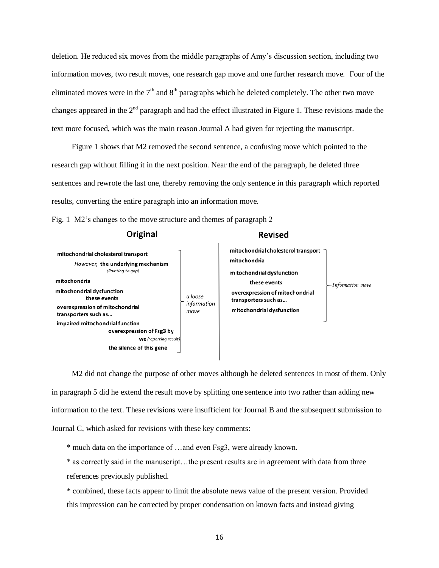deletion. He reduced six moves from the middle paragraphs of Amy's discussion section, including two information moves, two result moves, one research gap move and one further research move. Four of the eliminated moves were in the  $7<sup>th</sup>$  and  $8<sup>th</sup>$  paragraphs which he deleted completely. The other two move changes appeared in the  $2<sup>nd</sup>$  paragraph and had the effect illustrated in Figure 1. These revisions made the text more focused, which was the main reason Journal A had given for rejecting the manuscript.

Figure 1 shows that M2 removed the second sentence, a confusing move which pointed to the research gap without filling it in the next position. Near the end of the paragraph, he deleted three sentences and rewrote the last one, thereby removing the only sentence in this paragraph which reported results, converting the entire paragraph into an information move.

| Original                                                                                                                                                                                                                                                                                                                                          |                                | <b>Revised</b>                                                                                                                                                                                                                                      |
|---------------------------------------------------------------------------------------------------------------------------------------------------------------------------------------------------------------------------------------------------------------------------------------------------------------------------------------------------|--------------------------------|-----------------------------------------------------------------------------------------------------------------------------------------------------------------------------------------------------------------------------------------------------|
| mitochondrial cholesterol transport<br>However, the underlying mechanism<br>(Pointing to gap)<br>mitochondria<br>mitochondrial dysfunction<br>these events<br>overexpression of mitochondrial<br>transporters such as<br>impaired mitochondrial function<br>overexpression of Fsg3 by<br><b>We</b> (reporting result)<br>the silence of this gene | a loose<br>information<br>move | mitochondrial cholesterol transport $\overline{\phantom{a}}$<br>mitochondria<br>mitochondrial dysfunction<br>these events<br>$\rightarrow$ Information move<br>overexpression of mitochondrial<br>transporters such as<br>mitochondrial dysfunction |

|  |  |  | Fig. 1 M2's changes to the move structure and themes of paragraph 2 |  |  |
|--|--|--|---------------------------------------------------------------------|--|--|
|  |  |  |                                                                     |  |  |

M2 did not change the purpose of other moves although he deleted sentences in most of them. Only in paragraph 5 did he extend the result move by splitting one sentence into two rather than adding new information to the text. These revisions were insufficient for Journal B and the subsequent submission to Journal C, which asked for revisions with these key comments:

\* much data on the importance of …and even Fsg3, were already known.

\* as correctly said in the manuscript…the present results are in agreement with data from three references previously published.

\* combined, these facts appear to limit the absolute news value of the present version. Provided this impression can be corrected by proper condensation on known facts and instead giving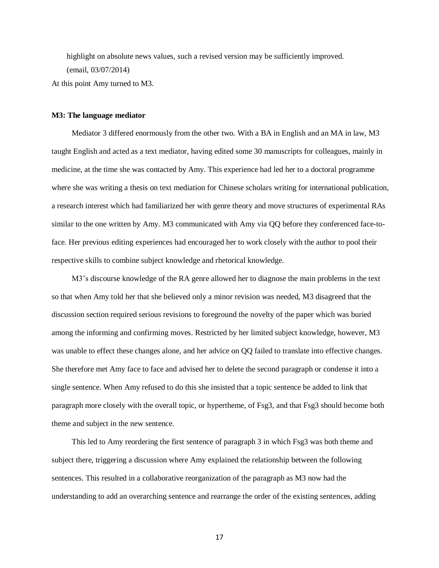highlight on absolute news values, such a revised version may be sufficiently improved. (email, 03/07/2014) At this point Amy turned to M3.

## **M3: The language mediator**

Mediator 3 differed enormously from the other two. With a BA in English and an MA in law, M3 taught English and acted as a text mediator, having edited some 30 manuscripts for colleagues, mainly in medicine, at the time she was contacted by Amy. This experience had led her to a doctoral programme where she was writing a thesis on text mediation for Chinese scholars writing for international publication, a research interest which had familiarized her with genre theory and move structures of experimental RAs similar to the one written by Amy. M3 communicated with Amy via QQ before they conferenced face-toface. Her previous editing experiences had encouraged her to work closely with the author to pool their respective skills to combine subject knowledge and rhetorical knowledge.

M3's discourse knowledge of the RA genre allowed her to diagnose the main problems in the text so that when Amy told her that she believed only a minor revision was needed, M3 disagreed that the discussion section required serious revisions to foreground the novelty of the paper which was buried among the informing and confirming moves. Restricted by her limited subject knowledge, however, M3 was unable to effect these changes alone, and her advice on QQ failed to translate into effective changes. She therefore met Amy face to face and advised her to delete the second paragraph or condense it into a single sentence. When Amy refused to do this she insisted that a topic sentence be added to link that paragraph more closely with the overall topic, or hypertheme, of Fsg3, and that Fsg3 should become both theme and subject in the new sentence.

This led to Amy reordering the first sentence of paragraph 3 in which Fsg3 was both theme and subject there, triggering a discussion where Amy explained the relationship between the following sentences. This resulted in a collaborative reorganization of the paragraph as M3 now had the understanding to add an overarching sentence and rearrange the order of the existing sentences, adding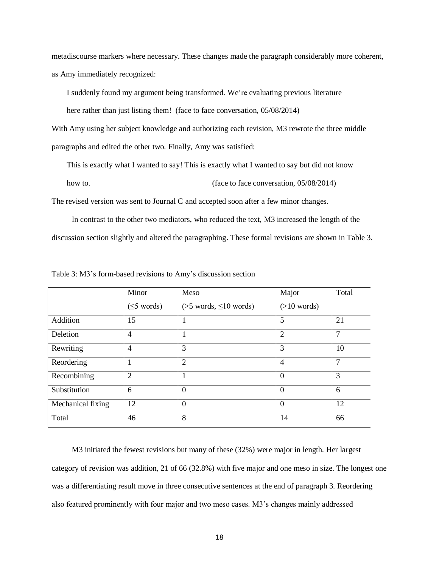metadiscourse markers where necessary. These changes made the paragraph considerably more coherent, as Amy immediately recognized:

I suddenly found my argument being transformed. We're evaluating previous literature

here rather than just listing them! (face to face conversation, 05/08/2014)

With Amy using her subject knowledge and authorizing each revision, M3 rewrote the three middle paragraphs and edited the other two. Finally, Amy was satisfied:

This is exactly what I wanted to say! This is exactly what I wanted to say but did not know

how to. (face to face conversation, 05/08/2014)

The revised version was sent to Journal C and accepted soon after a few minor changes.

In contrast to the other two mediators, who reduced the text, M3 increased the length of the discussion section slightly and altered the paragraphing. These formal revisions are shown in Table 3.

|                   | Minor             | Meso                           | Major          | Total         |
|-------------------|-------------------|--------------------------------|----------------|---------------|
|                   | $( \leq 5$ words) | $($ >5 words, $\leq 10$ words) | $(>10$ words)  |               |
| Addition          | 15                |                                | 5              | 21            |
| Deletion          | $\overline{4}$    |                                | $\overline{2}$ | 7             |
| Rewriting         | $\overline{4}$    | 3                              | 3              | 10            |
| Reordering        |                   | $\overline{2}$                 | $\overline{4}$ | $\mathcal{I}$ |
| Recombining       | $\overline{2}$    |                                | $\theta$       | 3             |
| Substitution      | 6                 | $\theta$                       | $\theta$       | 6             |
| Mechanical fixing | 12                | $\overline{0}$                 | $\overline{0}$ | 12            |
| Total             | 46                | 8                              | 14             | 66            |

Table 3: M3's form-based revisions to Amy's discussion section

M3 initiated the fewest revisions but many of these (32%) were major in length. Her largest category of revision was addition, 21 of 66 (32.8%) with five major and one meso in size. The longest one was a differentiating result move in three consecutive sentences at the end of paragraph 3. Reordering also featured prominently with four major and two meso cases. M3's changes mainly addressed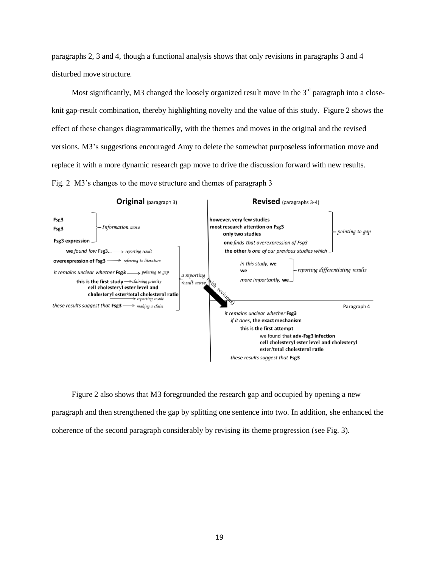paragraphs 2, 3 and 4, though a functional analysis shows that only revisions in paragraphs 3 and 4 disturbed move structure.

Most significantly, M3 changed the loosely organized result move in the  $3<sup>rd</sup>$  paragraph into a closeknit gap-result combination, thereby highlighting novelty and the value of this study. Figure 2 shows the effect of these changes diagrammatically, with the themes and moves in the original and the revised versions. M3's suggestions encouraged Amy to delete the somewhat purposeless information move and replace it with a more dynamic research gap move to drive the discussion forward with new results. Fig. 2 M3's changes to the move structure and themes of paragraph 3



Figure 2 also shows that M3 foregrounded the research gap and occupied by opening a new paragraph and then strengthened the gap by splitting one sentence into two. In addition, she enhanced the coherence of the second paragraph considerably by revising its theme progression (see Fig. 3).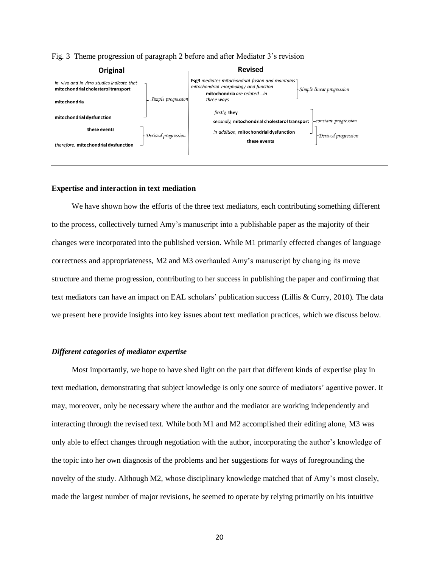| Original                                                                          |                     | <b>Revised</b>                                                                                                                  |                                   |
|-----------------------------------------------------------------------------------|---------------------|---------------------------------------------------------------------------------------------------------------------------------|-----------------------------------|
| in vivo and in vitro studies indicate that<br>mitochondrial cholesterol transport |                     | <b>Fsg3</b> mediates mitochondrial fusion and maintains<br>mitochondrial morphology and function<br>mitochondria are related in | Simple linear progression         |
| mitochondria                                                                      | Simple progression  | three ways                                                                                                                      |                                   |
| mitochondrial dysfunction                                                         |                     | firstly, they<br>secondly, mitochondrial cholesterol transport                                                                  | $\leftarrow$ constant progression |
| these events                                                                      | Derived progression | in addition, mitochondrial dysfunction                                                                                          | $\neg$ Derived progression        |
| therefore, mitochondrial dysfunction                                              |                     | these events                                                                                                                    |                                   |

# Fig. 3 Theme progression of paragraph 2 before and after Mediator 3's revision

### **Expertise and interaction in text mediation**

We have shown how the efforts of the three text mediators, each contributing something different to the process, collectively turned Amy's manuscript into a publishable paper as the majority of their changes were incorporated into the published version. While M1 primarily effected changes of language correctness and appropriateness, M2 and M3 overhauled Amy's manuscript by changing its move structure and theme progression, contributing to her success in publishing the paper and confirming that text mediators can have an impact on EAL scholars' publication success (Lillis & Curry, 2010). The data we present here provide insights into key issues about text mediation practices, which we discuss below.

# *Different categories of mediator expertise*

Most importantly, we hope to have shed light on the part that different kinds of expertise play in text mediation, demonstrating that subject knowledge is only one source of mediators' agentive power. It may, moreover, only be necessary where the author and the mediator are working independently and interacting through the revised text. While both M1 and M2 accomplished their editing alone, M3 was only able to effect changes through negotiation with the author, incorporating the author's knowledge of the topic into her own diagnosis of the problems and her suggestions for ways of foregrounding the novelty of the study. Although M2, whose disciplinary knowledge matched that of Amy's most closely, made the largest number of major revisions, he seemed to operate by relying primarily on his intuitive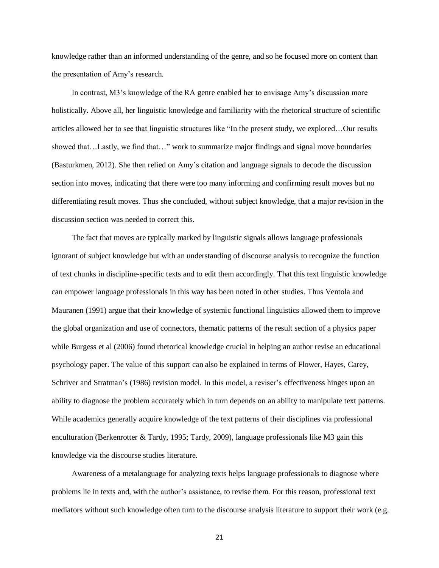knowledge rather than an informed understanding of the genre, and so he focused more on content than the presentation of Amy's research.

In contrast, M3's knowledge of the RA genre enabled her to envisage Amy's discussion more holistically. Above all, her linguistic knowledge and familiarity with the rhetorical structure of scientific articles allowed her to see that linguistic structures like "In the present study, we explored…Our results showed that…Lastly, we find that…" work to summarize major findings and signal move boundaries (Basturkmen, 2012). She then relied on Amy's citation and language signals to decode the discussion section into moves, indicating that there were too many informing and confirming result moves but no differentiating result moves. Thus she concluded, without subject knowledge, that a major revision in the discussion section was needed to correct this.

The fact that moves are typically marked by linguistic signals allows language professionals ignorant of subject knowledge but with an understanding of discourse analysis to recognize the function of text chunks in discipline-specific texts and to edit them accordingly. That this text linguistic knowledge can empower language professionals in this way has been noted in other studies. Thus Ventola and Mauranen (1991) argue that their knowledge of systemic functional linguistics allowed them to improve the global organization and use of connectors, thematic patterns of the result section of a physics paper while Burgess et al (2006) found rhetorical knowledge crucial in helping an author revise an educational psychology paper. The value of this support can also be explained in terms of Flower, Hayes, Carey, Schriver and Stratman's (1986) revision model. In this model, a reviser's effectiveness hinges upon an ability to diagnose the problem accurately which in turn depends on an ability to manipulate text patterns. While academics generally acquire knowledge of the text patterns of their disciplines via professional enculturation (Berkenrotter & Tardy, 1995; Tardy, 2009), language professionals like M3 gain this knowledge via the discourse studies literature.

Awareness of a metalanguage for analyzing texts helps language professionals to diagnose where problems lie in texts and, with the author's assistance, to revise them. For this reason, professional text mediators without such knowledge often turn to the discourse analysis literature to support their work (e.g.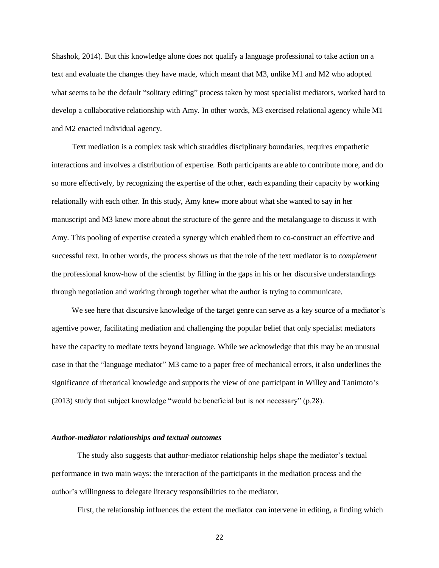Shashok, 2014). But this knowledge alone does not qualify a language professional to take action on a text and evaluate the changes they have made, which meant that M3, unlike M1 and M2 who adopted what seems to be the default "solitary editing" process taken by most specialist mediators, worked hard to develop a collaborative relationship with Amy. In other words, M3 exercised relational agency while M1 and M2 enacted individual agency.

Text mediation is a complex task which straddles disciplinary boundaries, requires empathetic interactions and involves a distribution of expertise. Both participants are able to contribute more, and do so more effectively, by recognizing the expertise of the other, each expanding their capacity by working relationally with each other. In this study, Amy knew more about what she wanted to say in her manuscript and M3 knew more about the structure of the genre and the metalanguage to discuss it with Amy. This pooling of expertise created a synergy which enabled them to co-construct an effective and successful text. In other words, the process shows us that the role of the text mediator is to *complement* the professional know-how of the scientist by filling in the gaps in his or her discursive understandings through negotiation and working through together what the author is trying to communicate.

We see here that discursive knowledge of the target genre can serve as a key source of a mediator's agentive power, facilitating mediation and challenging the popular belief that only specialist mediators have the capacity to mediate texts beyond language. While we acknowledge that this may be an unusual case in that the "language mediator" M3 came to a paper free of mechanical errors, it also underlines the significance of rhetorical knowledge and supports the view of one participant in Willey and Tanimoto's (2013) study that subject knowledge "would be beneficial but is not necessary" (p.28).

## *Author-mediator relationships and textual outcomes*

The study also suggests that author-mediator relationship helps shape the mediator's textual performance in two main ways: the interaction of the participants in the mediation process and the author's willingness to delegate literacy responsibilities to the mediator.

First, the relationship influences the extent the mediator can intervene in editing, a finding which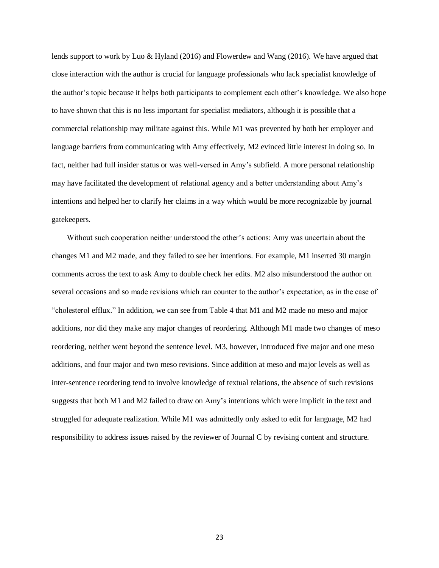lends support to work by Luo & Hyland (2016) and Flowerdew and Wang (2016). We have argued that close interaction with the author is crucial for language professionals who lack specialist knowledge of the author's topic because it helps both participants to complement each other's knowledge. We also hope to have shown that this is no less important for specialist mediators, although it is possible that a commercial relationship may militate against this. While M1 was prevented by both her employer and language barriers from communicating with Amy effectively, M2 evinced little interest in doing so. In fact, neither had full insider status or was well-versed in Amy's subfield. A more personal relationship may have facilitated the development of relational agency and a better understanding about Amy's intentions and helped her to clarify her claims in a way which would be more recognizable by journal gatekeepers.

Without such cooperation neither understood the other's actions: Amy was uncertain about the changes M1 and M2 made, and they failed to see her intentions. For example, M1 inserted 30 margin comments across the text to ask Amy to double check her edits. M2 also misunderstood the author on several occasions and so made revisions which ran counter to the author's expectation, as in the case of "cholesterol efflux." In addition, we can see from Table 4 that M1 and M2 made no meso and major additions, nor did they make any major changes of reordering. Although M1 made two changes of meso reordering, neither went beyond the sentence level. M3, however, introduced five major and one meso additions, and four major and two meso revisions. Since addition at meso and major levels as well as inter-sentence reordering tend to involve knowledge of textual relations, the absence of such revisions suggests that both M1 and M2 failed to draw on Amy's intentions which were implicit in the text and struggled for adequate realization. While M1 was admittedly only asked to edit for language, M2 had responsibility to address issues raised by the reviewer of Journal C by revising content and structure.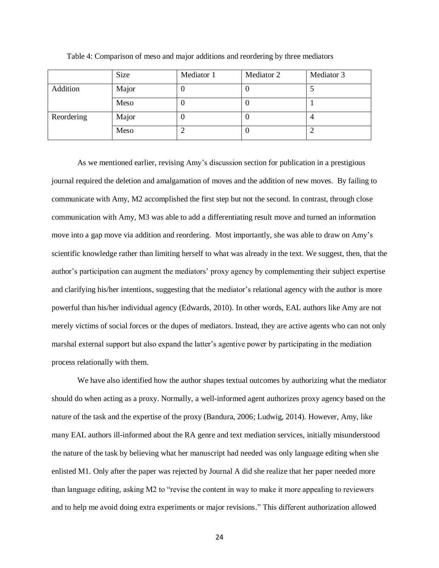|            | Size  | Mediator 1 | Mediator 2 | Mediator 3 |
|------------|-------|------------|------------|------------|
| Addition   | Major |            |            |            |
|            | Meso  | υ          |            |            |
| Reordering | Major |            |            |            |
|            | Meso  |            |            |            |

Table 4: Comparison of meso and major additions and reordering by three mediators

As we mentioned earlier, revising Amy's discussion section for publication in a prestigious journal required the deletion and amalgamation of moves and the addition of new moves. By failing to communicate with Amy, M2 accomplished the first step but not the second. In contrast, through close communication with Amy, M3 was able to add a differentiating result move and turned an information move into a gap move via addition and reordering. Most importantly, she was able to draw on Amy's scientific knowledge rather than limiting herself to what was already in the text. We suggest, then, that the author's participation can augment the mediators' proxy agency by complementing their subject expertise and clarifying his/her intentions, suggesting that the mediator's relational agency with the author is more powerful than his/her individual agency (Edwards, 2010). In other words, EAL authors like Amy are not merely victims of social forces or the dupes of mediators. Instead, they are active agents who can not only marshal external support but also expand the latter's agentive power by participating in the mediation process relationally with them.

We have also identified how the author shapes textual outcomes by authorizing what the mediator should do when acting as a proxy. Normally, a well-informed agent authorizes proxy agency based on the nature of the task and the expertise of the proxy (Bandura, 2006; Ludwig, 2014). However, Amy, like many EAL authors ill-informed about the RA genre and text mediation services, initially misunderstood the nature of the task by believing what her manuscript had needed was only language editing when she enlisted M1. Only after the paper was rejected by Journal A did she realize that her paper needed more than language editing, asking M2 to "revise the content in way to make it more appealing to reviewers and to help me avoid doing extra experiments or major revisions." This different authorization allowed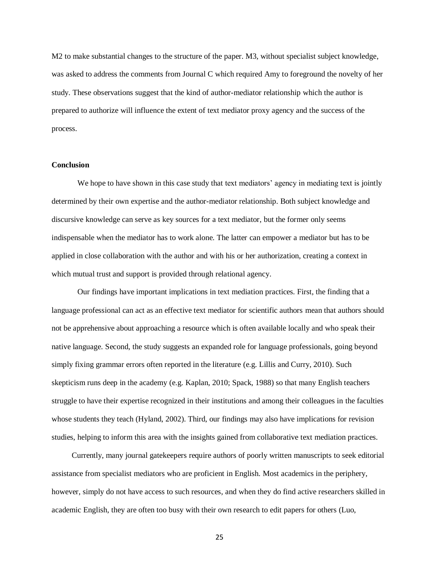M2 to make substantial changes to the structure of the paper. M3, without specialist subject knowledge, was asked to address the comments from Journal C which required Amy to foreground the novelty of her study. These observations suggest that the kind of author-mediator relationship which the author is prepared to authorize will influence the extent of text mediator proxy agency and the success of the process.

# **Conclusion**

We hope to have shown in this case study that text mediators' agency in mediating text is jointly determined by their own expertise and the author-mediator relationship. Both subject knowledge and discursive knowledge can serve as key sources for a text mediator, but the former only seems indispensable when the mediator has to work alone. The latter can empower a mediator but has to be applied in close collaboration with the author and with his or her authorization, creating a context in which mutual trust and support is provided through relational agency.

Our findings have important implications in text mediation practices. First, the finding that a language professional can act as an effective text mediator for scientific authors mean that authors should not be apprehensive about approaching a resource which is often available locally and who speak their native language. Second, the study suggests an expanded role for language professionals, going beyond simply fixing grammar errors often reported in the literature (e.g. Lillis and Curry, 2010). Such skepticism runs deep in the academy (e.g. Kaplan, 2010; Spack, 1988) so that many English teachers struggle to have their expertise recognized in their institutions and among their colleagues in the faculties whose students they teach (Hyland, 2002). Third, our findings may also have implications for revision studies, helping to inform this area with the insights gained from collaborative text mediation practices.

Currently, many journal gatekeepers require authors of poorly written manuscripts to seek editorial assistance from specialist mediators who are proficient in English. Most academics in the periphery, however, simply do not have access to such resources, and when they do find active researchers skilled in academic English, they are often too busy with their own research to edit papers for others (Luo,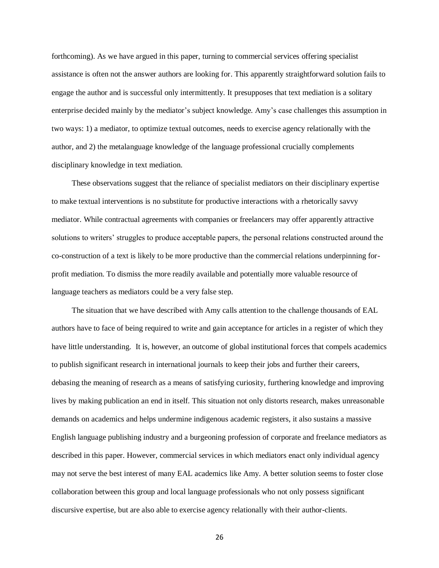forthcoming). As we have argued in this paper, turning to commercial services offering specialist assistance is often not the answer authors are looking for. This apparently straightforward solution fails to engage the author and is successful only intermittently. It presupposes that text mediation is a solitary enterprise decided mainly by the mediator's subject knowledge. Amy's case challenges this assumption in two ways: 1) a mediator, to optimize textual outcomes, needs to exercise agency relationally with the author, and 2) the metalanguage knowledge of the language professional crucially complements disciplinary knowledge in text mediation.

These observations suggest that the reliance of specialist mediators on their disciplinary expertise to make textual interventions is no substitute for productive interactions with a rhetorically savvy mediator. While contractual agreements with companies or freelancers may offer apparently attractive solutions to writers' struggles to produce acceptable papers, the personal relations constructed around the co-construction of a text is likely to be more productive than the commercial relations underpinning forprofit mediation. To dismiss the more readily available and potentially more valuable resource of language teachers as mediators could be a very false step.

The situation that we have described with Amy calls attention to the challenge thousands of EAL authors have to face of being required to write and gain acceptance for articles in a register of which they have little understanding. It is, however, an outcome of global institutional forces that compels academics to publish significant research in international journals to keep their jobs and further their careers, debasing the meaning of research as a means of satisfying curiosity, furthering knowledge and improving lives by making publication an end in itself. This situation not only distorts research, makes unreasonable demands on academics and helps undermine indigenous academic registers, it also sustains a massive English language publishing industry and a burgeoning profession of corporate and freelance mediators as described in this paper. However, commercial services in which mediators enact only individual agency may not serve the best interest of many EAL academics like Amy. A better solution seems to foster close collaboration between this group and local language professionals who not only possess significant discursive expertise, but are also able to exercise agency relationally with their author-clients.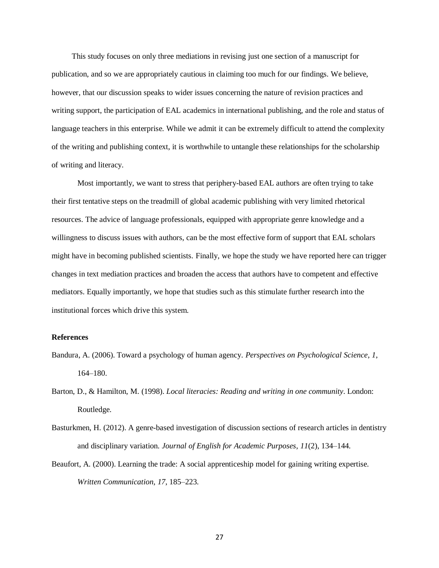This study focuses on only three mediations in revising just one section of a manuscript for publication, and so we are appropriately cautious in claiming too much for our findings. We believe, however, that our discussion speaks to wider issues concerning the nature of revision practices and writing support, the participation of EAL academics in international publishing, and the role and status of language teachers in this enterprise. While we admit it can be extremely difficult to attend the complexity of the writing and publishing context, it is worthwhile to untangle these relationships for the scholarship of writing and literacy.

Most importantly, we want to stress that periphery-based EAL authors are often trying to take their first tentative steps on the treadmill of global academic publishing with very limited rhetorical resources. The advice of language professionals, equipped with appropriate genre knowledge and a willingness to discuss issues with authors, can be the most effective form of support that EAL scholars might have in becoming published scientists. Finally, we hope the study we have reported here can trigger changes in text mediation practices and broaden the access that authors have to competent and effective mediators. Equally importantly, we hope that studies such as this stimulate further research into the institutional forces which drive this system.

#### **References**

- Bandura, A. (2006). Toward a psychology of human agency. *Perspectives on Psychological Science*, *1*, 164–180.
- Barton, D., & Hamilton, M. (1998). *Local literacies: Reading and writing in one community*. London: Routledge.
- Basturkmen, H. (2012). A genre-based investigation of discussion sections of research articles in dentistry and disciplinary variation. *Journal of English for Academic Purposes*, *11*(2), 134–144.
- Beaufort, A. (2000). Learning the trade: A social apprenticeship model for gaining writing expertise. *Written Communication*, *17*, 185–223.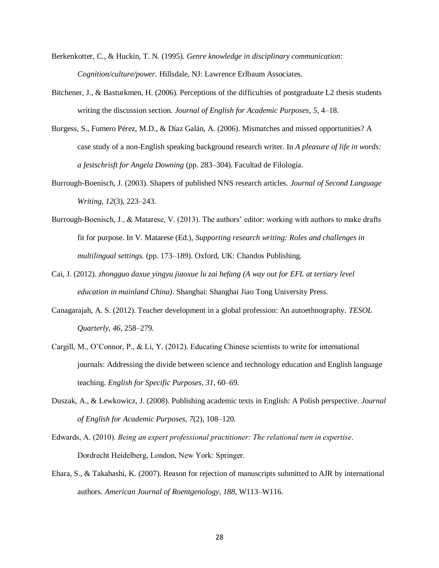- Berkenkotter, C., & Huckin, T. N. (1995). *Genre knowledge in disciplinary communication: Cognition/culture/power.* Hillsdale, NJ: Lawrence Erlbaum Associates.
- Bitchener, J., & Basturkmen, H. (2006). Perceptions of the difficulties of postgraduate L2 thesis students writing the discussion section. *Journal of English for Academic Purposes*, *5*, 4–18.
- Burgess, S., Fumero Pérez, M.D., & Díaz Galán, A. (2006). Mismatches and missed opportunities? A case study of a non-English speaking background research writer. In *A pleasure of life in words: a festschrisft for Angela Downing* (pp. 283–304). Facultad de Filología.
- Burrough-Boenisch, J. (2003). Shapers of published NNS research articles. *Journal of Second Language Writing*, *12*(3), 223–243.
- Burrough-Boenisch, J., & Matarese, V. (2013). The authors' editor: working with authors to make drafts fit for purpose. In V. Matarese (Ed.), *Supporting research writing: Roles and challenges in multilingual settings.* (pp. 173–189). Oxford, UK: Chandos Publishing.
- Cai, J. (2012). *zhongguo daxue yingyu jiaoxue lu zai hefang (A way out for EFL at tertiary level education in mainland China)*. Shanghai: Shanghai Jiao Tong University Press.
- Canagarajah, A. S. (2012). Teacher development in a global profession: An autoethnography. *TESOL Quarterly*, *46*, 258–279.
- Cargill, M., O'Connor, P., & Li, Y. (2012). Educating Chinese scientists to write for international journals: Addressing the divide between science and technology education and English language teaching. *English for Specific Purposes*, *31*, 60–69.
- Duszak, A., & Lewkowicz, J. (2008). Publishing academic texts in English: A Polish perspective. *Journal of English for Academic Purposes*, *7*(2), 108–120.
- Edwards, A. (2010). *Being an expert professional practitioner: The relational turn in expertise*. Dordrecht Heidelberg, London, New York: Springer.
- Ehara, S., & Takahashi, K. (2007). Reason for rejection of manuscripts submitted to AJR by international authors. *American Journal of Roentgenology*, *188*, W113–W116.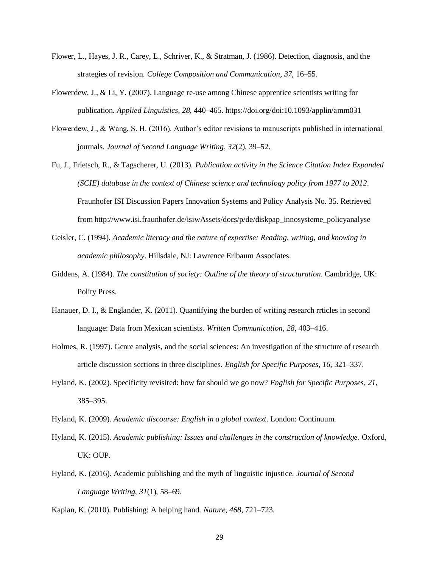- Flower, L., Hayes, J. R., Carey, L., Schriver, K., & Stratman, J. (1986). Detection, diagnosis, and the strategies of revision. *College Composition and Communication*, *37*, 16–55.
- Flowerdew, J., & Li, Y. (2007). Language re-use among Chinese apprentice scientists writing for publication. *Applied Linguistics*, *28*, 440–465. https://doi.org/doi:10.1093/applin/amm031
- Flowerdew, J., & Wang, S. H. (2016). Author's editor revisions to manuscripts published in international journals. *Journal of Second Language Writing*, *32*(2), 39–52.
- Fu, J., Frietsch, R., & Tagscherer, U. (2013). *Publication activity in the Science Citation Index Expanded (SCIE) database in the context of Chinese science and technology policy from 1977 to 2012*. Fraunhofer ISI Discussion Papers Innovation Systems and Policy Analysis No. 35. Retrieved from http://www.isi.fraunhofer.de/isiwAssets/docs/p/de/diskpap\_innosysteme\_policyanalyse
- Geisler, C. (1994). *Academic literacy and the nature of expertise: Reading, writing, and knowing in academic philosophy*. Hillsdale, NJ: Lawrence Erlbaum Associates.
- Giddens, A. (1984). *The constitution of society: Outline of the theory of structuration*. Cambridge, UK: Polity Press.
- Hanauer, D. I., & Englander, K. (2011). Quantifying the burden of writing research rrticles in second language: Data from Mexican scientists. *Written Communication*, *28*, 403–416.
- Holmes, R. (1997). Genre analysis, and the social sciences: An investigation of the structure of research article discussion sections in three disciplines. *English for Specific Purposes*, *16*, 321–337.
- Hyland, K. (2002). Specificity revisited: how far should we go now? *English for Specific Purposes*, *21*, 385–395.
- Hyland, K. (2009). *Academic discourse: English in a global context*. London: Continuum.
- Hyland, K. (2015). *Academic publishing: Issues and challenges in the construction of knowledge*. Oxford, UK: OUP.
- Hyland, K. (2016). Academic publishing and the myth of linguistic injustice. *Journal of Second Language Writing*, *31*(1), 58–69.
- Kaplan, K. (2010). Publishing: A helping hand. *Nature*, *468*, 721–723.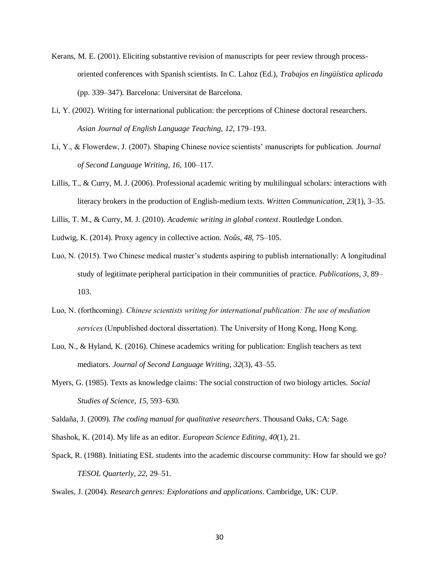- Kerans, M. E. (2001). Eliciting substantive revision of manuscripts for peer review through processoriented conferences with Spanish scientists. In C. Lahoz (Ed.), *Trabajos en lingüística aplicada* (pp. 339–347). Barcelona: Universitat de Barcelona.
- Li, Y. (2002). Writing for international publication: the perceptions of Chinese doctoral researchers. *Asian Journal of English Language Teaching*, *12*, 179–193.
- Li, Y., & Flowerdew, J. (2007). Shaping Chinese novice scientists' manuscripts for publication. *Journal of Second Language Writing*, *16*, 100–117.
- Lillis, T., & Curry, M. J. (2006). Professional academic writing by multilingual scholars: interactions with literacy brokers in the production of English-medium texts. *Written Communication*, *23*(1), 3–35.

Lillis, T. M., & Curry, M. J. (2010). *Academic writing in global context*. Routledge London.

- Ludwig, K. (2014). Proxy agency in collective action. *Noûs*, *48*, 75–105.
- Luo, N. (2015). Two Chinese medical master's students aspiring to publish internationally: A longitudinal study of legitimate peripheral participation in their communities of practice. *Publications*, *3*, 89– 103.
- Luo, N. (forthcoming). *Chinese scientists writing for international publication: The use of mediation services* (Unpublished doctoral dissertation). The University of Hong Kong, Hong Kong.
- Luo, N., & Hyland, K. (2016). Chinese academics writing for publication: English teachers as text mediators. *Journal of Second Language Writing*, *32*(3), 43–55.
- Myers, G. (1985). Texts as knowledge claims: The social construction of two biology articles. *Social Studies of Science*, *15*, 593–630.

Saldaña, J. (2009). *The coding manual for qualitative researchers*. Thousand Oaks, CA: Sage.

- Shashok, K. (2014). My life as an editor. *European Science Editing*, *40*(1), 21.
- Spack, R. (1988). Initiating ESL students into the academic discourse community: How far should we go? *TESOL Quarterly*, *22*, 29–51.

Swales, J. (2004). *Research genres: Explorations and applications*. Cambridge, UK: CUP.